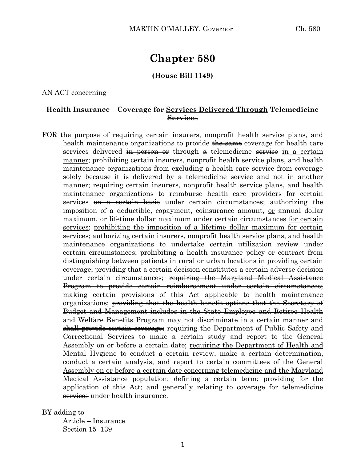# **Chapter 580**

#### **(House Bill 1149)**

AN ACT concerning

## **Health Insurance – Coverage for Services Delivered Through Telemedicine Services**

FOR the purpose of requiring certain insurers, nonprofit health service plans, and health maintenance organizations to provide the same coverage for health care services delivered in person or through a telemedicine service in a certain manner; prohibiting certain insurers, nonprofit health service plans, and health maintenance organizations from excluding a health care service from coverage solely because it is delivered by  $\theta$  telemedicine service and not in another manner; requiring certain insurers, nonprofit health service plans, and health maintenance organizations to reimburse health care providers for certain services on a certain basis under certain circumstances; authorizing the imposition of a deductible, copayment, coinsurance amount, or annual dollar maximum<del>, or lifetime dollar maximum under certain circumstances</del> for certain services; prohibiting the imposition of a lifetime dollar maximum for certain services; authorizing certain insurers, nonprofit health service plans, and health maintenance organizations to undertake certain utilization review under certain circumstances; prohibiting a health insurance policy or contract from distinguishing between patients in rural or urban locations in providing certain coverage; providing that a certain decision constitutes a certain adverse decision under certain circumstances; requiring the Maryland Medical Assistance Program to provide certain reimbursement under certain circumstances; making certain provisions of this Act applicable to health maintenance organizations; providing that the health benefit options that the Secretary of Budget and Management includes in the State Employee and Retiree Health and Welfare Benefits Program may not discriminate in a certain manner and shall provide certain coverage; requiring the Department of Public Safety and Correctional Services to make a certain study and report to the General Assembly on or before a certain date; requiring the Department of Health and Mental Hygiene to conduct a certain review, make a certain determination, conduct a certain analysis, and report to certain committees of the General Assembly on or before a certain date concerning telemedicine and the Maryland Medical Assistance population; defining a certain term; providing for the application of this Act; and generally relating to coverage for telemedicine services under health insurance.

BY adding to

Article – Insurance Section 15–139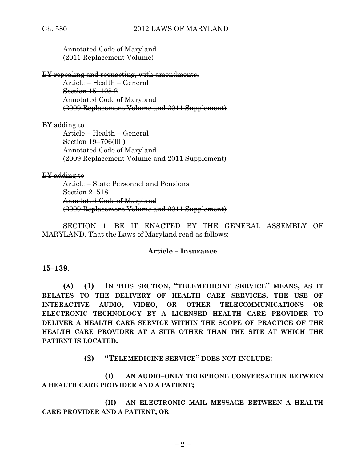Annotated Code of Maryland (2011 Replacement Volume)

BY repealing and reenacting, with amendments, Article – Health – General Section 15–105.2 Annotated Code of Maryland (2009 Replacement Volume and 2011 Supplement)

BY adding to

Article – Health – General Section 19–706(llll) Annotated Code of Maryland (2009 Replacement Volume and 2011 Supplement)

#### BY adding to

Article – State Personnel and Pensions Section 2–518 Annotated Code of Maryland (2009 Replacement Volume and 2011 Supplement)

SECTION 1. BE IT ENACTED BY THE GENERAL ASSEMBLY OF MARYLAND, That the Laws of Maryland read as follows:

## **Article – Insurance**

#### **15–139.**

**(A) (1) IN THIS SECTION, "TELEMEDICINE SERVICE" MEANS, AS IT RELATES TO THE DELIVERY OF HEALTH CARE SERVICES, THE USE OF INTERACTIVE AUDIO, VIDEO, OR OTHER TELECOMMUNICATIONS OR ELECTRONIC TECHNOLOGY BY A LICENSED HEALTH CARE PROVIDER TO DELIVER A HEALTH CARE SERVICE WITHIN THE SCOPE OF PRACTICE OF THE HEALTH CARE PROVIDER AT A SITE OTHER THAN THE SITE AT WHICH THE PATIENT IS LOCATED.**

**(2) "TELEMEDICINE SERVICE" DOES NOT INCLUDE:**

**(I) AN AUDIO–ONLY TELEPHONE CONVERSATION BETWEEN A HEALTH CARE PROVIDER AND A PATIENT;**

**(II) AN ELECTRONIC MAIL MESSAGE BETWEEN A HEALTH CARE PROVIDER AND A PATIENT; OR**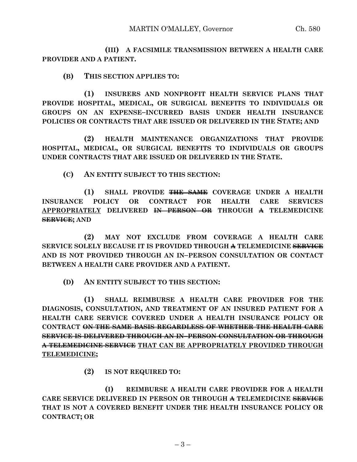**(III) A FACSIMILE TRANSMISSION BETWEEN A HEALTH CARE PROVIDER AND A PATIENT.**

**(B) THIS SECTION APPLIES TO:**

**(1) INSURERS AND NONPROFIT HEALTH SERVICE PLANS THAT PROVIDE HOSPITAL, MEDICAL, OR SURGICAL BENEFITS TO INDIVIDUALS OR GROUPS ON AN EXPENSE–INCURRED BASIS UNDER HEALTH INSURANCE POLICIES OR CONTRACTS THAT ARE ISSUED OR DELIVERED IN THE STATE; AND**

**(2) HEALTH MAINTENANCE ORGANIZATIONS THAT PROVIDE HOSPITAL, MEDICAL, OR SURGICAL BENEFITS TO INDIVIDUALS OR GROUPS UNDER CONTRACTS THAT ARE ISSUED OR DELIVERED IN THE STATE.**

**(C) AN ENTITY SUBJECT TO THIS SECTION:**

**(1) SHALL PROVIDE THE SAME COVERAGE UNDER A HEALTH INSURANCE POLICY OR CONTRACT FOR HEALTH CARE SERVICES APPROPRIATELY DELIVERED IN PERSON OR THROUGH A TELEMEDICINE SERVICE; AND**

**(2) MAY NOT EXCLUDE FROM COVERAGE A HEALTH CARE SERVICE SOLELY BECAUSE IT IS PROVIDED THROUGH A TELEMEDICINE SERVICE AND IS NOT PROVIDED THROUGH AN IN–PERSON CONSULTATION OR CONTACT BETWEEN A HEALTH CARE PROVIDER AND A PATIENT.**

**(D) AN ENTITY SUBJECT TO THIS SECTION:**

**(1) SHALL REIMBURSE A HEALTH CARE PROVIDER FOR THE DIAGNOSIS, CONSULTATION, AND TREATMENT OF AN INSURED PATIENT FOR A HEALTH CARE SERVICE COVERED UNDER A HEALTH INSURANCE POLICY OR CONTRACT ON THE SAME BASIS REGARDLESS OF WHETHER THE HEALTH CARE SERVICE IS DELIVERED THROUGH AN IN–PERSON CONSULTATION OR THROUGH A TELEMEDICINE SERVICE THAT CAN BE APPROPRIATELY PROVIDED THROUGH TELEMEDICINE;**

**(2) IS NOT REQUIRED TO:**

**(I) REIMBURSE A HEALTH CARE PROVIDER FOR A HEALTH CARE SERVICE DELIVERED IN PERSON OR THROUGH A TELEMEDICINE SERVICE THAT IS NOT A COVERED BENEFIT UNDER THE HEALTH INSURANCE POLICY OR CONTRACT; OR**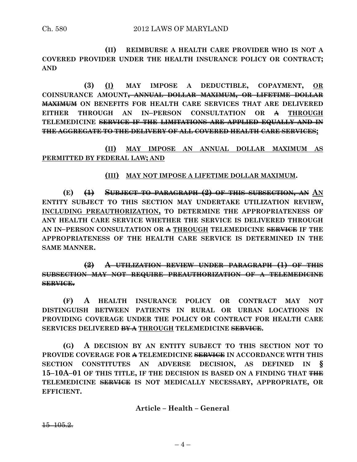**(II) REIMBURSE A HEALTH CARE PROVIDER WHO IS NOT A COVERED PROVIDER UNDER THE HEALTH INSURANCE POLICY OR CONTRACT; AND** 

**(3) (I) MAY IMPOSE A DEDUCTIBLE, COPAYMENT, OR COINSURANCE AMOUNT, ANNUAL DOLLAR MAXIMUM, OR LIFETIME DOLLAR MAXIMUM ON BENEFITS FOR HEALTH CARE SERVICES THAT ARE DELIVERED EITHER THROUGH AN IN–PERSON CONSULTATION OR A THROUGH TELEMEDICINE SERVICE IF THE LIMITATIONS ARE APPLIED EQUALLY AND IN THE AGGREGATE TO THE DELIVERY OF ALL COVERED HEALTH CARE SERVICES;**

**(II) MAY IMPOSE AN ANNUAL DOLLAR MAXIMUM AS PERMITTED BY FEDERAL LAW; AND**

**(III) MAY NOT IMPOSE A LIFETIME DOLLAR MAXIMUM.**

**(E) (1) SUBJECT TO PARAGRAPH (2) OF THIS SUBSECTION, AN AN ENTITY SUBJECT TO THIS SECTION MAY UNDERTAKE UTILIZATION REVIEW, INCLUDING PREAUTHORIZATION, TO DETERMINE THE APPROPRIATENESS OF ANY HEALTH CARE SERVICE WHETHER THE SERVICE IS DELIVERED THROUGH AN IN–PERSON CONSULTATION OR A THROUGH TELEMEDICINE SERVICE IF THE APPROPRIATENESS OF THE HEALTH CARE SERVICE IS DETERMINED IN THE SAME MANNER.**

**(2) A UTILIZATION REVIEW UNDER PARAGRAPH (1) OF THIS SUBSECTION MAY NOT REQUIRE PREAUTHORIZATION OF A TELEMEDICINE SERVICE.**

**(F) A HEALTH INSURANCE POLICY OR CONTRACT MAY NOT DISTINGUISH BETWEEN PATIENTS IN RURAL OR URBAN LOCATIONS IN PROVIDING COVERAGE UNDER THE POLICY OR CONTRACT FOR HEALTH CARE SERVICES DELIVERED BY A THROUGH TELEMEDICINE SERVICE.**

**(G) A DECISION BY AN ENTITY SUBJECT TO THIS SECTION NOT TO PROVIDE COVERAGE FOR A TELEMEDICINE SERVICE IN ACCORDANCE WITH THIS SECTION CONSTITUTES AN ADVERSE DECISION, AS DEFINED IN § 15–10A–01 OF THIS TITLE, IF THE DECISION IS BASED ON A FINDING THAT THE TELEMEDICINE SERVICE IS NOT MEDICALLY NECESSARY, APPROPRIATE, OR EFFICIENT.**

**Article – Health – General**

15–105.2.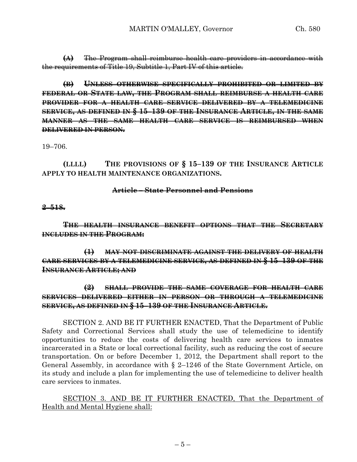**(A)** The Program shall reimburse health care providers in accordance with the requirements of Title 19, Subtitle 1, Part IV of this article.

**(B) UNLESS OTHERWISE SPECIFICALLY PROHIBITED OR LIMITED BY FEDERAL OR STATE LAW, THE PROGRAM SHALL REIMBURSE A HEALTH CARE PROVIDER FOR A HEALTH CARE SERVICE DELIVERED BY A TELEMEDICINE SERVICE, AS DEFINED IN § 15–139 OF THE INSURANCE ARTICLE, IN THE SAME MANNER AS THE SAME HEALTH CARE SERVICE IS REIMBURSED WHEN DELIVERED IN PERSON.**

19–706.

**(LLLL) THE PROVISIONS OF § 15–139 OF THE INSURANCE ARTICLE APPLY TO HEALTH MAINTENANCE ORGANIZATIONS.**

# **Article – State Personnel and Pensions**

**2–518.**

**THE HEALTH INSURANCE BENEFIT OPTIONS THAT THE SECRETARY INCLUDES IN THE PROGRAM:**

**(1) MAY NOT DISCRIMINATE AGAINST THE DELIVERY OF HEALTH CARE SERVICES BY A TELEMEDICINE SERVICE, AS DEFINED IN § 15–139 OF THE INSURANCE ARTICLE; AND** 

**(2) SHALL PROVIDE THE SAME COVERAGE FOR HEALTH CARE SERVICES DELIVERED EITHER IN PERSON OR THROUGH A TELEMEDICINE SERVICE, AS DEFINED IN § 15–139 OF THE INSURANCE ARTICLE.**

SECTION 2. AND BE IT FURTHER ENACTED, That the Department of Public Safety and Correctional Services shall study the use of telemedicine to identify opportunities to reduce the costs of delivering health care services to inmates incarcerated in a State or local correctional facility, such as reducing the cost of secure transportation. On or before December 1, 2012, the Department shall report to the General Assembly, in accordance with § 2–1246 of the State Government Article, on its study and include a plan for implementing the use of telemedicine to deliver health care services to inmates.

SECTION 3. AND BE IT FURTHER ENACTED, That the Department of Health and Mental Hygiene shall: